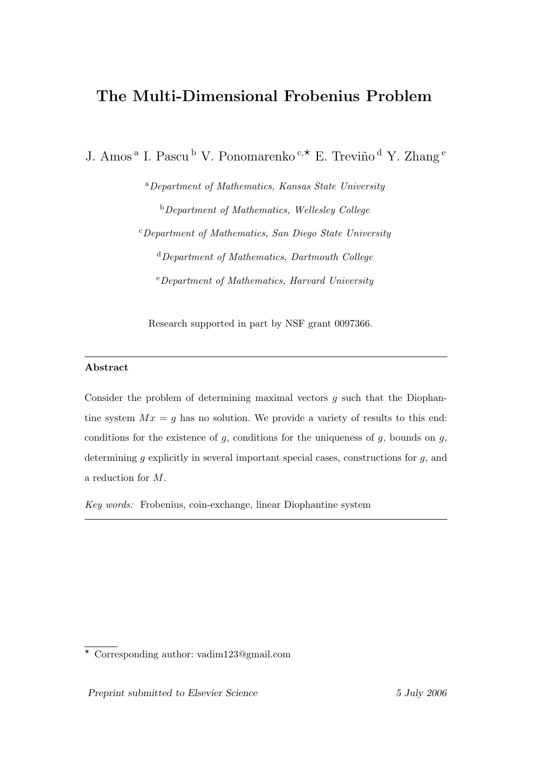# The Multi-Dimensional Frobenius Problem

J. Amos<sup>a</sup> I. Pascu<sup>b</sup> V. Ponomarenko <sup>c,\*</sup> E. Treviño <sup>d</sup> Y. Zhang <sup>e</sup>

<sup>a</sup>Department of Mathematics, Kansas State University <sup>b</sup>Department of Mathematics, Wellesley College <sup>c</sup>Department of Mathematics, San Diego State University  $d$  Department of Mathematics, Dartmouth College

 $e^{e}$ Department of Mathematics, Harvard University

Research supported in part by NSF grant 0097366.

# Abstract

Consider the problem of determining maximal vectors  $q$  such that the Diophantine system  $Mx = g$  has no solution. We provide a variety of results to this end: conditions for the existence of  $g$ , conditions for the uniqueness of  $g$ , bounds on  $g$ , determining  $q$  explicitly in several important special cases, constructions for  $q$ , and a reduction for M.

Key words: Frobenius, coin-exchange, linear Diophantine system

<sup>?</sup> Corresponding author: vadim123@gmail.com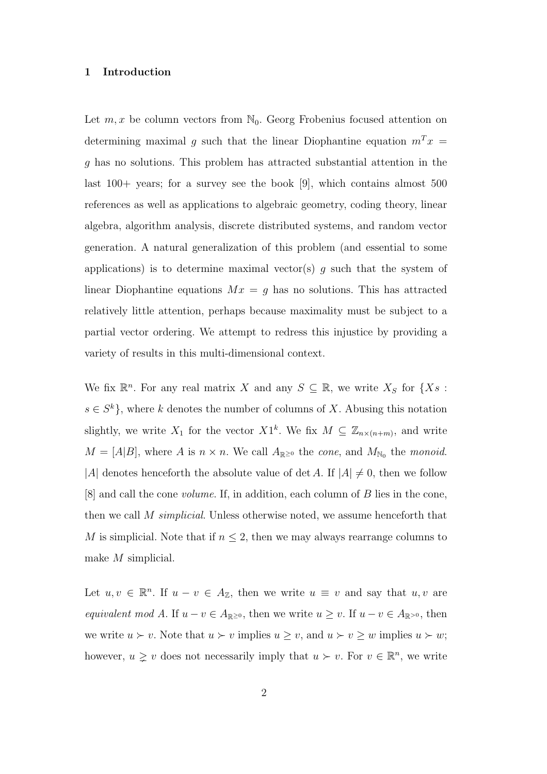### 1 Introduction

Let  $m, x$  be column vectors from  $\mathbb{N}_0$ . Georg Frobenius focused attention on determining maximal g such that the linear Diophantine equation  $m^T x =$ g has no solutions. This problem has attracted substantial attention in the last 100+ years; for a survey see the book [9], which contains almost 500 references as well as applications to algebraic geometry, coding theory, linear algebra, algorithm analysis, discrete distributed systems, and random vector generation. A natural generalization of this problem (and essential to some applications) is to determine maximal vector(s)  $g$  such that the system of linear Diophantine equations  $Mx = g$  has no solutions. This has attracted relatively little attention, perhaps because maximality must be subject to a partial vector ordering. We attempt to redress this injustice by providing a variety of results in this multi-dimensional context.

We fix  $\mathbb{R}^n$ . For any real matrix X and any  $S \subseteq \mathbb{R}$ , we write  $X_S$  for  $\{X_S :$  $s \in S^k$ , where k denotes the number of columns of X. Abusing this notation slightly, we write  $X_1$  for the vector  $X1^k$ . We fix  $M \subseteq \mathbb{Z}_{n \times (n+m)}$ , and write  $M = [A|B]$ , where A is  $n \times n$ . We call  $A_{\mathbb{R}}$  is the cone, and  $M_{\mathbb{N}_0}$  the monoid. |A| denotes henceforth the absolute value of det A. If  $|A| \neq 0$ , then we follow [8] and call the cone volume. If, in addition, each column of B lies in the cone, then we call M simplicial. Unless otherwise noted, we assume henceforth that M is simplicial. Note that if  $n \leq 2$ , then we may always rearrange columns to make M simplicial.

Let  $u, v \in \mathbb{R}^n$ . If  $u - v \in A_{\mathbb{Z}}$ , then we write  $u \equiv v$  and say that  $u, v$  are equivalent mod A. If  $u - v \in A_{\mathbb{R} \geq 0}$ , then we write  $u \geq v$ . If  $u - v \in A_{\mathbb{R} > 0}$ , then we write  $u \succ v$ . Note that  $u \succ v$  implies  $u \ge v$ , and  $u \succ v \ge w$  implies  $u \succ w$ ; however,  $u \geq v$  does not necessarily imply that  $u \succ v$ . For  $v \in \mathbb{R}^n$ , we write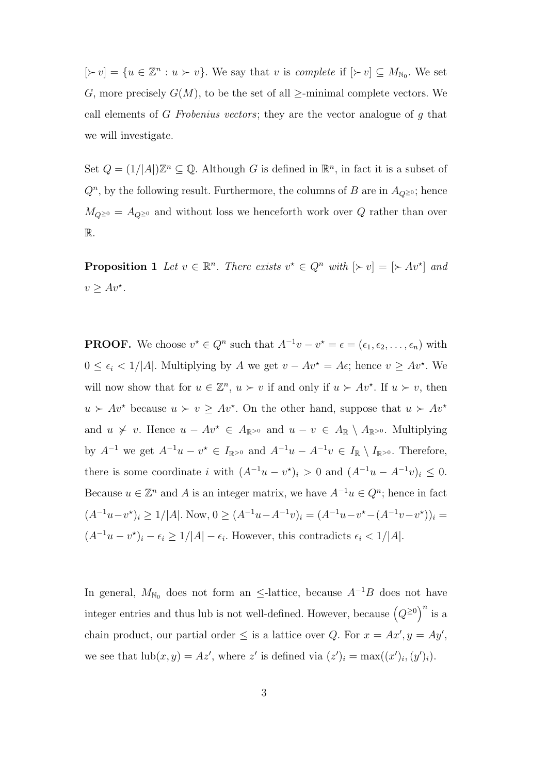$[\succ v] = \{u \in \mathbb{Z}^n : u \succ v\}$ . We say that v is complete if  $[\succ v] \subseteq M_{\mathbb{N}_0}$ . We set G, more precisely  $G(M)$ , to be the set of all  $\ge$ -minimal complete vectors. We call elements of G Frobenius vectors; they are the vector analogue of g that we will investigate.

Set  $Q = (1/|A|)\mathbb{Z}^n \subseteq \mathbb{Q}$ . Although G is defined in  $\mathbb{R}^n$ , in fact it is a subset of  $Q<sup>n</sup>$ , by the following result. Furthermore, the columns of B are in  $A_{Q\geq 0}$ ; hence  $M_{Q^{\geq 0}} = A_{Q^{\geq 0}}$  and without loss we henceforth work over  $Q$  rather than over R.

**Proposition 1** Let  $v \in \mathbb{R}^n$ . There exists  $v^* \in Q^n$  with  $[\succ v] = [\succ Av^*]$  and  $v \ge Av^*$ .

**PROOF.** We choose  $v^* \in Q^n$  such that  $A^{-1}v - v^* = \epsilon = (\epsilon_1, \epsilon_2, \dots, \epsilon_n)$  with  $0 \leq \epsilon_i < 1/|A|$ . Multiplying by A we get  $v - Av^* = Ae$ ; hence  $v \geq Av^*$ . We will now show that for  $u \in \mathbb{Z}^n$ ,  $u \succ v$  if and only if  $u \succ Av^*$ . If  $u \succ v$ , then  $u > Av^*$  because  $u > v \ge Av^*$ . On the other hand, suppose that  $u > Av^*$ and  $u \nsucc v$ . Hence  $u - Av^* \in A_{\mathbb{R} > 0}$  and  $u - v \in A_{\mathbb{R}} \setminus A_{\mathbb{R} > 0}$ . Multiplying by  $A^{-1}$  we get  $A^{-1}u - v^* \in I_{\mathbb{R}^{\geq 0}}$  and  $A^{-1}u - A^{-1}v \in I_{\mathbb{R}} \setminus I_{\mathbb{R}^{\geq 0}}$ . Therefore, there is some coordinate i with  $(A^{-1}u - v^*)_i > 0$  and  $(A^{-1}u - A^{-1}v)_i \leq 0$ . Because  $u \in \mathbb{Z}^n$  and A is an integer matrix, we have  $A^{-1}u \in Q^n$ ; hence in fact  $(A^{-1}u-v^*)_i \geq 1/|A|$ . Now,  $0 \geq (A^{-1}u-A^{-1}v)_i = (A^{-1}u-v^*(-A^{-1}v-v^*))_i =$  $(A^{-1}u - v^*)_i - \epsilon_i \geq 1/|A| - \epsilon_i$ . However, this contradicts  $\epsilon_i < 1/|A|$ .

In general,  $M_{\text{N}_0}$  does not form an  $\leq$ -lattice, because  $A^{-1}B$  does not have integer entries and thus lub is not well-defined. However, because  $\big(Q^{\geq 0}\big)$  $\setminus n$ is a chain product, our partial order  $\leq$  is a lattice over Q. For  $x = Ax'$ ,  $y = Ay'$ , we see that  $\text{lub}(x, y) = Az'$ , where z' is defined via  $(z')_i = \max((x')_i, (y')_i)$ .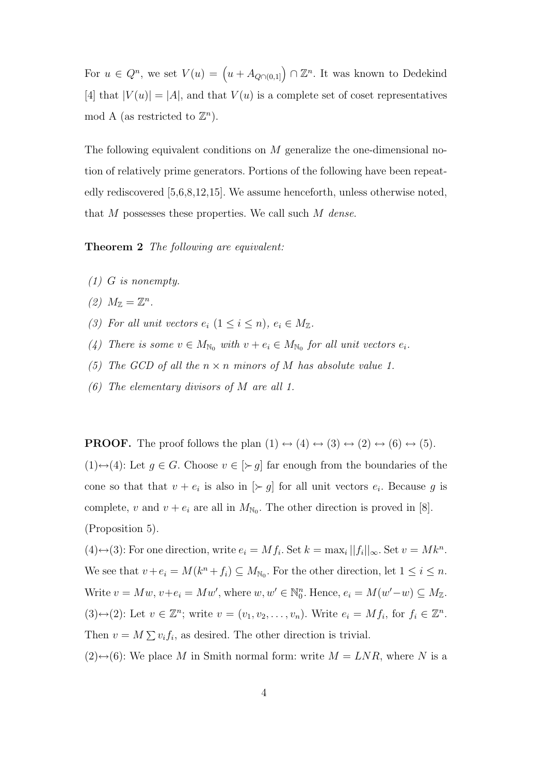For  $u \in Q^n$ , we set  $V(u) = (u + A_{Q \cap (0,1]}) \cap \mathbb{Z}^n$ . It was known to Dedekind [4] that  $|V(u)| = |A|$ , and that  $V(u)$  is a complete set of coset representatives mod A (as restricted to  $\mathbb{Z}^n$ ).

The following equivalent conditions on M generalize the one-dimensional notion of relatively prime generators. Portions of the following have been repeatedly rediscovered [5,6,8,12,15]. We assume henceforth, unless otherwise noted, that  $M$  possesses these properties. We call such  $M$  dense.

Theorem 2 The following are equivalent:

- (1) G is nonempty.
- (2)  $M_{\mathbb{Z}} = \mathbb{Z}^n$ .
- (3) For all unit vectors  $e_i$   $(1 \leq i \leq n)$ ,  $e_i \in M_{\mathbb{Z}}$ .
- (4) There is some  $v \in M_{\mathbb{N}_0}$  with  $v + e_i \in M_{\mathbb{N}_0}$  for all unit vectors  $e_i$ .
- (5) The GCD of all the  $n \times n$  minors of M has absolute value 1.
- (6) The elementary divisors of M are all 1.

**PROOF.** The proof follows the plan  $(1) \leftrightarrow (4) \leftrightarrow (3) \leftrightarrow (2) \leftrightarrow (6) \leftrightarrow (5)$ .

 $(1) \leftrightarrow (4)$ : Let  $g \in G$ . Choose  $v \in [\succ g]$  far enough from the boundaries of the cone so that that  $v + e_i$  is also in  $[\succ g]$  for all unit vectors  $e_i$ . Because g is complete, v and  $v + e_i$  are all in  $M_{\text{N}_0}$ . The other direction is proved in [8]. (Proposition 5).

 $(4) \leftrightarrow (3)$ : For one direction, write  $e_i = Mf_i$ . Set  $k = \max_i ||f_i||_{\infty}$ . Set  $v = Mk^n$ . We see that  $v + e_i = M(k^n + f_i) \subseteq M_{\mathbb{N}_0}$ . For the other direction, let  $1 \leq i \leq n$ . Write  $v = Mw$ ,  $v + e_i = Mw'$ , where  $w, w' \in \mathbb{N}_0^n$ . Hence,  $e_i = M(w'-w) \subseteq M_{\mathbb{Z}}$ .  $(3) \leftrightarrow (2)$ : Let  $v \in \mathbb{Z}^n$ ; write  $v = (v_1, v_2, \dots, v_n)$ . Write  $e_i = Mf_i$ , for  $f_i \in \mathbb{Z}^n$ . Then  $v = M \sum v_i f_i$ , as desired. The other direction is trivial.

 $(2) \leftrightarrow (6)$ : We place M in Smith normal form: write  $M = LNR$ , where N is a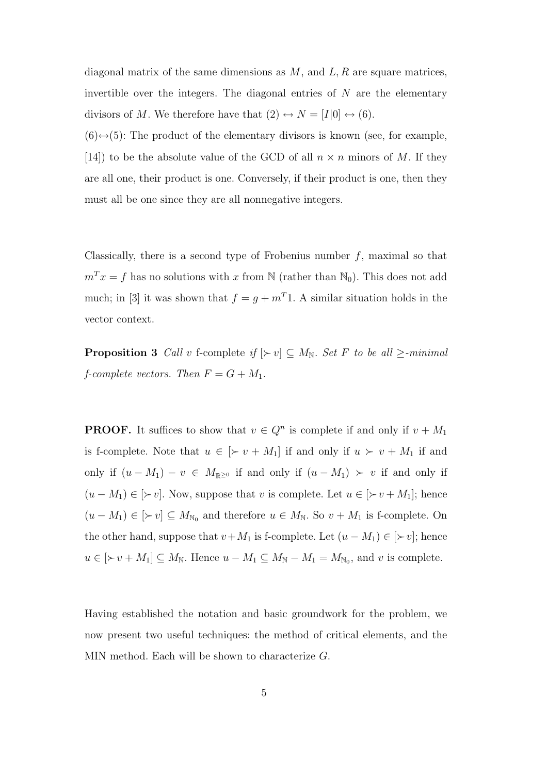diagonal matrix of the same dimensions as  $M$ , and  $L, R$  are square matrices, invertible over the integers. The diagonal entries of  $N$  are the elementary divisors of M. We therefore have that  $(2) \leftrightarrow N = [I|0] \leftrightarrow (6)$ .

 $(6) \leftrightarrow (5)$ : The product of the elementary divisors is known (see, for example, [14]) to be the absolute value of the GCD of all  $n \times n$  minors of M. If they are all one, their product is one. Conversely, if their product is one, then they must all be one since they are all nonnegative integers.

Classically, there is a second type of Frobenius number  $f$ , maximal so that  $m<sup>T</sup> x = f$  has no solutions with x from N (rather than N<sub>0</sub>). This does not add much; in [3] it was shown that  $f = g + m<sup>T</sup>$ 1. A similar situation holds in the vector context.

**Proposition 3** Call v f-complete if  $[\succ v] \subseteq M_N$ . Set F to be all  $\ge$ -minimal *f*-complete vectors. Then  $F = G + M_1$ .

**PROOF.** It suffices to show that  $v \in Q^n$  is complete if and only if  $v + M_1$ is f-complete. Note that  $u \in [\succ v + M_1]$  if and only if  $u \succ v + M_1$  if and only if  $(u - M_1) - v \in M_{\mathbb{R} \ge 0}$  if and only if  $(u - M_1) > v$  if and only if  $(u - M_1) \in [\succ v]$ . Now, suppose that v is complete. Let  $u \in [\succ v + M_1]$ ; hence  $(u - M_1) \in [\succeq v] \subseteq M_{\mathbb{N}_0}$  and therefore  $u \in M_{\mathbb{N}}$ . So  $v + M_1$  is f-complete. On the other hand, suppose that  $v+M_1$  is f-complete. Let  $(u-M_1) \in [\succ v]$ ; hence  $u \in [\succ v + M_1] \subseteq M_{\mathbb{N}}$ . Hence  $u - M_1 \subseteq M_{\mathbb{N}} - M_1 = M_{\mathbb{N}_0}$ , and v is complete.

Having established the notation and basic groundwork for the problem, we now present two useful techniques: the method of critical elements, and the MIN method. Each will be shown to characterize G.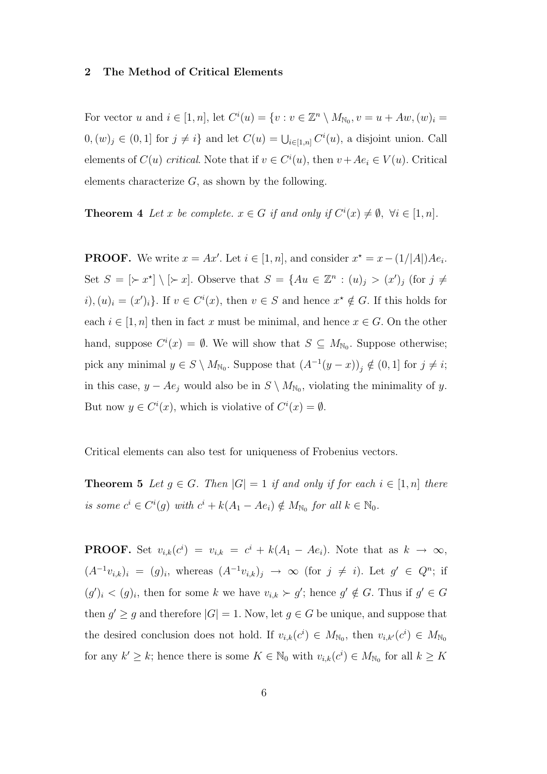#### 2 The Method of Critical Elements

For vector u and  $i \in [1, n]$ , let  $C^i(u) = \{v : v \in \mathbb{Z}^n \setminus M_{\mathbb{N}_0}, v = u + Aw, (w)_i = 0\}$  $(0, (w)_j \in (0, 1]$  for  $j \neq i$  and let  $C(u) = \bigcup_{i \in [1, n]} C^i(u)$ , a disjoint union. Call elements of  $C(u)$  critical. Note that if  $v \in C^i(u)$ , then  $v + Ae_i \in V(u)$ . Critical elements characterize  $G$ , as shown by the following.

**Theorem 4** Let x be complete.  $x \in G$  if and only if  $C^i(x) \neq \emptyset$ ,  $\forall i \in [1, n]$ .

**PROOF.** We write  $x = Ax'$ . Let  $i \in [1, n]$ , and consider  $x^* = x - (1/|A|)Ae_i$ . Set  $S = [\succ x^*] \setminus [\succ x]$ . Observe that  $S = \{Au \in \mathbb{Z}^n : (u)_j > (x')_j \text{ (for } j \neq j\}$  $(i), (u)_i = (x')_i$ . If  $v \in C^i(x)$ , then  $v \in S$  and hence  $x^* \notin G$ . If this holds for each  $i \in [1, n]$  then in fact x must be minimal, and hence  $x \in G$ . On the other hand, suppose  $C^{i}(x) = \emptyset$ . We will show that  $S \subseteq M_{\mathbb{N}_{0}}$ . Suppose otherwise; pick any minimal  $y \in S \setminus M_{\mathbb{N}_0}$ . Suppose that  $(A^{-1}(y-x))_j \notin (0,1]$  for  $j \neq i$ ; in this case,  $y - Ae_j$  would also be in  $S \setminus M_{\mathbb{N}_0}$ , violating the minimality of y. But now  $y \in C^i(x)$ , which is violative of  $C^i(x) = \emptyset$ .

Critical elements can also test for uniqueness of Frobenius vectors.

**Theorem 5** Let  $g \in G$ . Then  $|G| = 1$  if and only if for each  $i \in [1, n]$  there is some  $c^i \in C^i(g)$  with  $c^i + k(A_1 - Ae_i) \notin M_{\mathbb{N}_0}$  for all  $k \in \mathbb{N}_0$ .

**PROOF.** Set  $v_{i,k}(c^i) = v_{i,k} = c^i + k(A_1 - Ae_i)$ . Note that as  $k \to \infty$ ,  $(A^{-1}v_{i,k})_i = (g)_i$ , whereas  $(A^{-1}v_{i,k})_j \rightarrow \infty$  (for  $j \neq i$ ). Let  $g' \in Q^n$ ; if  $(g')_i < (g)_i$ , then for some k we have  $v_{i,k} \succ g'$ ; hence  $g' \notin G$ . Thus if  $g' \in G$ then  $g' \ge g$  and therefore  $|G| = 1$ . Now, let  $g \in G$  be unique, and suppose that the desired conclusion does not hold. If  $v_{i,k}(c^i) \in M_{\mathbb{N}_0}$ , then  $v_{i,k'}(c^i) \in M_{\mathbb{N}_0}$ for any  $k' \geq k$ ; hence there is some  $K \in \mathbb{N}_0$  with  $v_{i,k}(c^i) \in M_{\mathbb{N}_0}$  for all  $k \geq K$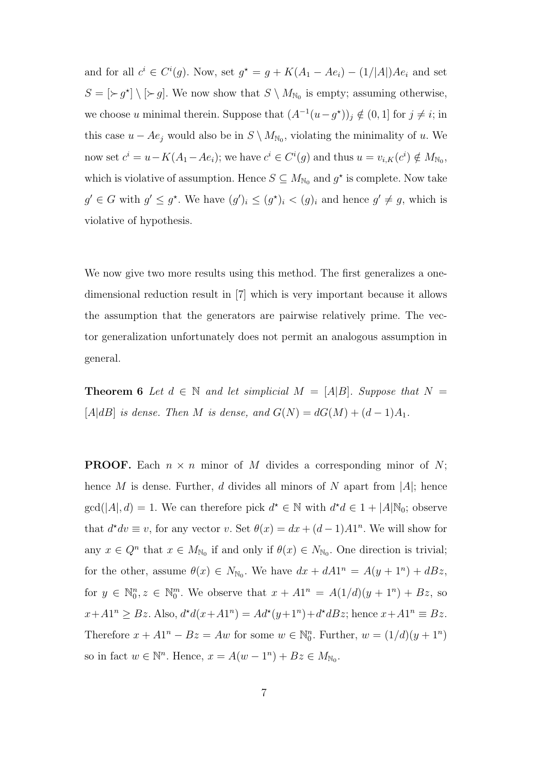and for all  $c^i \in C^i(g)$ . Now, set  $g^* = g + K(A_1 - Ae_i) - (1/|A|)Ae_i$  and set  $S = [\succ g^{\star}] \setminus [\succ g]$ . We now show that  $S \setminus M_{\mathbb{N}_0}$  is empty; assuming otherwise, we choose u minimal therein. Suppose that  $(A^{-1}(u-g^*))_j \notin (0,1]$  for  $j \neq i$ ; in this case  $u - Ae_j$  would also be in  $S \setminus M_{\mathbb{N}_0}$ , violating the minimality of u. We now set  $c^i = u - K(A_1 - Ae_i)$ ; we have  $c^i \in C^i(g)$  and thus  $u = v_{i,K}(c^i) \notin M_{\mathbb{N}_0}$ , which is violative of assumption. Hence  $S \subseteq M_{\mathbb{N}_0}$  and  $g^*$  is complete. Now take  $g' \in G$  with  $g' \leq g^*$ . We have  $(g')_i \leq (g^*)_i < (g)_i$  and hence  $g' \neq g$ , which is violative of hypothesis.

We now give two more results using this method. The first generalizes a onedimensional reduction result in [7] which is very important because it allows the assumption that the generators are pairwise relatively prime. The vector generalization unfortunately does not permit an analogous assumption in general.

**Theorem 6** Let  $d \in \mathbb{N}$  and let simplicial  $M = [A|B]$ . Suppose that  $N =$ [A|dB] is dense. Then M is dense, and  $G(N) = dG(M) + (d-1)A_1$ .

**PROOF.** Each  $n \times n$  minor of M divides a corresponding minor of N; hence M is dense. Further, d divides all minors of N apart from  $|A|$ ; hence  $gcd(|A|, d) = 1$ . We can therefore pick  $d^* \in \mathbb{N}$  with  $d^*d \in 1 + |A|\mathbb{N}_0$ ; observe that  $d^*dv \equiv v$ , for any vector v. Set  $\theta(x) = dx + (d-1)A1^n$ . We will show for any  $x \in Q^n$  that  $x \in M_{\mathbb{N}_0}$  if and only if  $\theta(x) \in N_{\mathbb{N}_0}$ . One direction is trivial; for the other, assume  $\theta(x) \in N_{\mathbb{N}_0}$ . We have  $dx + dA1^n = A(y + 1^n) + dBz$ , for  $y \in \mathbb{N}_0^n$ ,  $z \in \mathbb{N}_0^m$ . We observe that  $x + A1^n = A(1/d)(y + 1^n) + Bz$ , so  $x + A1^n \geq Bz$ . Also,  $d^*d(x + A1^n) = Ad^*(y + 1^n) + d^*dBz$ ; hence  $x + A1^n \equiv Bz$ . Therefore  $x + A1^n - Bz = Aw$  for some  $w \in \mathbb{N}_0^n$ . Further,  $w = (1/d)(y + 1^n)$ so in fact  $w \in \mathbb{N}^n$ . Hence,  $x = A(w - 1^n) + Bz \in M_{\mathbb{N}_0}$ .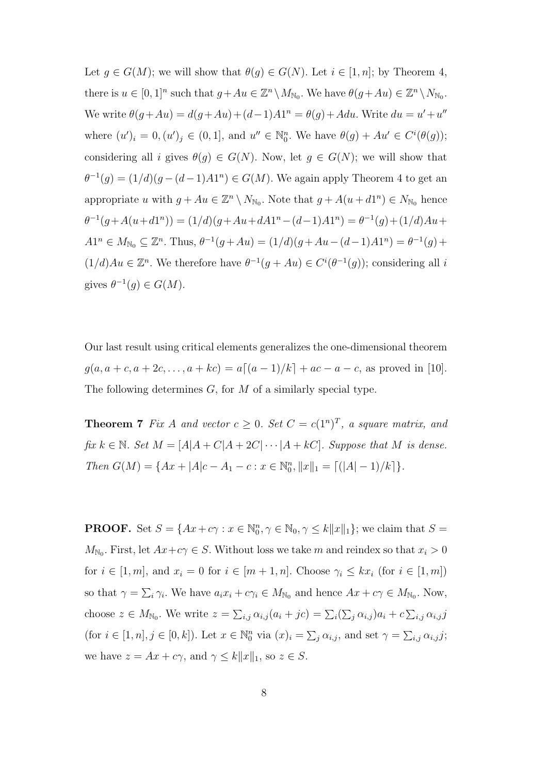Let  $g \in G(M)$ ; we will show that  $\theta(g) \in G(N)$ . Let  $i \in [1, n]$ ; by Theorem 4, there is  $u \in [0,1]^n$  such that  $g + Au \in \mathbb{Z}^n \setminus M_{\mathbb{N}_0}$ . We have  $\theta(g + Au) \in \mathbb{Z}^n \setminus N_{\mathbb{N}_0}$ . We write  $\theta(g+Au) = d(g+Au) + (d-1)A1^n = \theta(g) + Adu$ . Write  $du = u' + u''$ where  $(u')_i = 0, (u')_j \in (0, 1]$ , and  $u'' \in \mathbb{N}_0^n$ . We have  $\theta(g) + Au' \in C^i(\theta(g))$ ; considering all i gives  $\theta(g) \in G(N)$ . Now, let  $g \in G(N)$ ; we will show that  $\theta^{-1}(g) = (1/d)(g - (d-1)A1^{n}) \in G(M)$ . We again apply Theorem 4 to get an appropriate u with  $g + Au \in \mathbb{Z}^n \setminus N_{\mathbb{N}_0}$ . Note that  $g + A(u + d1^n) \in N_{\mathbb{N}_0}$  hence  $\theta^{-1}(g + A(u + d1^n)) = (1/d)(g + Au + dA1^n - (d-1)A1^n) = \theta^{-1}(g) + (1/d)Au +$  $A1^{n} \in M_{\mathbb{N}_{0}} \subseteq \mathbb{Z}^{n}$ . Thus,  $\theta^{-1}(g + Au) = (1/d)(g + Au - (d-1)A1^{n}) = \theta^{-1}(g) +$  $(1/d)Au \in \mathbb{Z}^n$ . We therefore have  $\theta^{-1}(g + Au) \in C^{i}(\theta^{-1}(g))$ ; considering all i gives  $\theta^{-1}(g) \in G(M)$ .

Our last result using critical elements generalizes the one-dimensional theorem  $g(a, a+c, a+2c, \ldots, a+kc) = a[(a-1)/k] + ac - a - c$ , as proved in [10]. The following determines  $G$ , for  $M$  of a similarly special type.

**Theorem 7** Fix A and vector  $c \geq 0$ . Set  $C = c(1^n)^T$ , a square matrix, and fix  $k \in \mathbb{N}$ . Set  $M = [A|A+C|A+2C|\cdots|A+kC]$ . Suppose that M is dense. Then  $G(M) = \{Ax + |A|c - A_1 - c : x \in \mathbb{N}_0^n, ||x||_1 = \lceil (|A| - 1)/k \rceil \}.$ 

**PROOF.** Set  $S = \{Ax + c\gamma : x \in \mathbb{N}_0^n, \gamma \in \mathbb{N}_0, \gamma \leq k||x||_1\}$ ; we claim that  $S =$  $M_{\text{N}_0}$ . First, let  $Ax + c\gamma \in S$ . Without loss we take m and reindex so that  $x_i > 0$ for  $i \in [1, m]$ , and  $x_i = 0$  for  $i \in [m + 1, n]$ . Choose  $\gamma_i \leq kx_i$  (for  $i \in [1, m]$ ) so that  $\gamma = \sum_i \gamma_i$ . We have  $a_i x_i + c \gamma_i \in M_{\mathbb{N}_0}$  and hence  $Ax + c\gamma \in M_{\mathbb{N}_0}$ . Now, choose  $z \in M_{\mathbb{N}_0}$ . We write  $z = \sum_{i,j} \alpha_{i,j} (a_i + jc) = \sum_i (\sum_j \alpha_{i,j}) a_i + c \sum_{i,j} \alpha_{i,j} j$ (for  $i \in [1, n], j \in [0, k]$ ). Let  $x \in \mathbb{N}_0^n$  via  $(x)_i = \sum_j \alpha_{i,j}$ , and set  $\gamma = \sum_{i,j} \alpha_{i,j} j$ ; we have  $z = Ax + c\gamma$ , and  $\gamma \leq k||x||_1$ , so  $z \in S$ .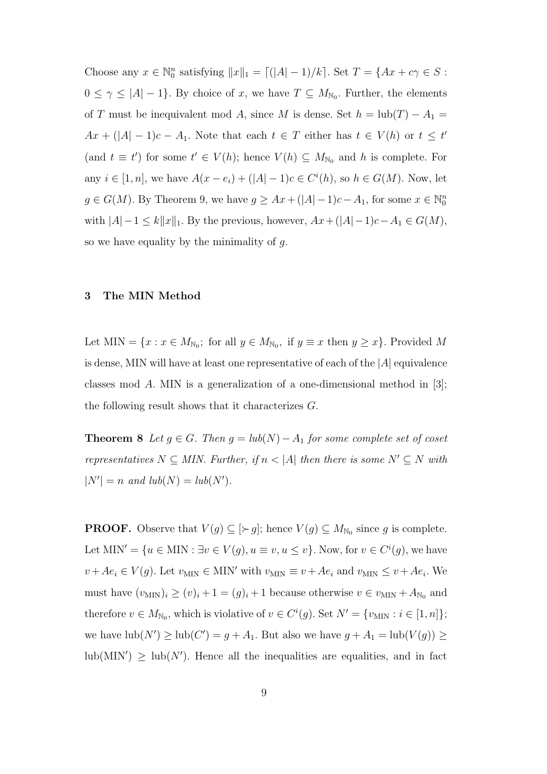Choose any  $x \in \mathbb{N}_0^n$  satisfying  $||x||_1 = [(|A| - 1)/k]$ . Set  $T = \{Ax + c\gamma \in S:$  $0 \leq \gamma \leq |A| - 1$ . By choice of x, we have  $T \subseteq M_{\mathbb{N}_0}$ . Further, the elements of T must be inequivalent mod A, since M is dense. Set  $h = \text{lub}(T) - A_1 =$  $Ax + (|A| - 1)c - A_1$ . Note that each  $t \in T$  either has  $t \in V(h)$  or  $t \leq t'$ (and  $t \equiv t'$ ) for some  $t' \in V(h)$ ; hence  $V(h) \subseteq M_{\mathbb{N}_0}$  and h is complete. For any  $i \in [1, n]$ , we have  $A(x - e_i) + (|A| - 1)c \in C^{i}(h)$ , so  $h \in G(M)$ . Now, let  $g \in G(M)$ . By Theorem 9, we have  $g \geq Ax + (|A| - 1)c - A_1$ , for some  $x \in \mathbb{N}_0^n$ with  $|A|-1 \le k||x||_1$ . By the previous, however,  $Ax+(|A|-1)c-A_1 \in G(M)$ , so we have equality by the minimality of  $g$ .

## 3 The MIN Method

Let MIN =  $\{x : x \in M_{\mathbb{N}_0};$  for all  $y \in M_{\mathbb{N}_0}$ , if  $y \equiv x$  then  $y \ge x\}$ . Provided M is dense, MIN will have at least one representative of each of the  $|A|$  equivalence classes mod A. MIN is a generalization of a one-dimensional method in [3]; the following result shows that it characterizes G.

**Theorem 8** Let  $g \in G$ . Then  $g = lub(N) - A_1$  for some complete set of coset representatives  $N \subseteq MIN$ . Further, if  $n < |A|$  then there is some  $N' \subseteq N$  with  $|N'| = n$  and  $lub(N) = lub(N').$ 

**PROOF.** Observe that  $V(g) \subseteq [\succ g]$ ; hence  $V(g) \subseteq M_{\mathbb{N}_0}$  since g is complete. Let MIN' =  $\{u \in \text{MIN} : \exists v \in V(g), u \equiv v, u \leq v\}$ . Now, for  $v \in C^{i}(g)$ , we have  $v + Ae_i \in V(g)$ . Let  $v_{\text{MIN}} \in \text{MIN}'$  with  $v_{\text{MIN}} \equiv v + Ae_i$  and  $v_{\text{MIN}} \le v + Ae_i$ . We must have  $(v_{\text{MIN}})_i \ge (v)_i + 1 = (g)_i + 1$  because otherwise  $v \in v_{\text{MIN}} + A_{\text{N}_0}$  and therefore  $v \in M_{\mathbb{N}_0}$ , which is violative of  $v \in C^i(g)$ . Set  $N' = \{v_{\text{MIN}} : i \in [1, n]\};$ we have  $\text{lub}(N') \ge \text{lub}(C') = g + A_1$ . But also we have  $g + A_1 = \text{lub}(V(g)) \ge$  $\text{lub}(MIN') \geq \text{lub}(N')$ . Hence all the inequalities are equalities, and in fact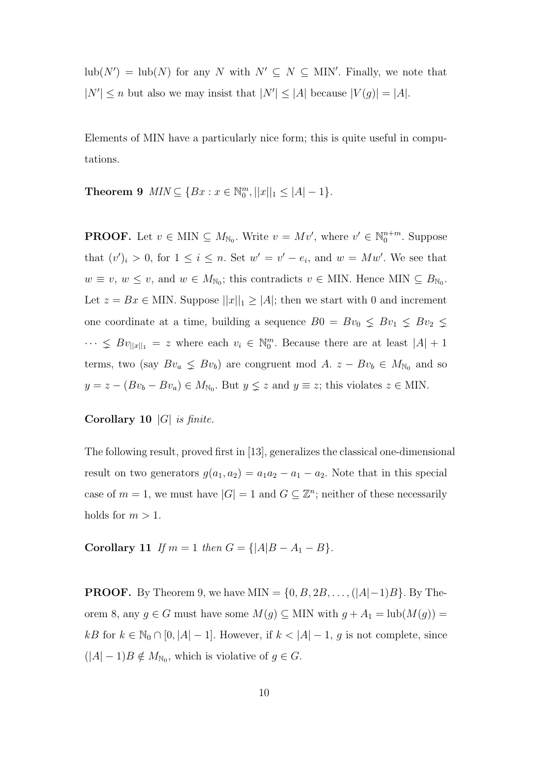$\text{lub}(N') = \text{lub}(N)$  for any N with  $N' \subseteq N \subseteq \text{MIN}'$ . Finally, we note that  $|N'| \leq n$  but also we may insist that  $|N'| \leq |A|$  because  $|V(g)| = |A|$ .

Elements of MIN have a particularly nice form; this is quite useful in computations.

Theorem 9  $MIN \subseteq \{ Bx : x \in \mathbb{N}_0^m, ||x||_1 \leq |A| - 1 \}.$ 

**PROOF.** Let  $v \in \text{MIN} \subseteq M_{\mathbb{N}_0}$ . Write  $v = Mv'$ , where  $v' \in \mathbb{N}_0^{n+m}$ . Suppose that  $(v')_i > 0$ , for  $1 \leq i \leq n$ . Set  $w' = v' - e_i$ , and  $w = Mw'$ . We see that  $w \equiv v, w \leq v$ , and  $w \in M_{\mathbb{N}_0}$ ; this contradicts  $v \in$  MIN. Hence MIN  $\subseteq B_{\mathbb{N}_0}$ . Let  $z = Bx \in \text{MIN}$ . Suppose  $||x||_1 \ge |A|$ ; then we start with 0 and increment one coordinate at a time, building a sequence  $B0 = Bv_0 \leq Bv_1 \leq Bv_2 \leq$  $\cdots \leq Bv_{\vert x\vert\vert_1} = z$  where each  $v_i \in \mathbb{N}_0^m$ . Because there are at least  $|A| + 1$ terms, two (say  $Bv_a \leq Bv_b$ ) are congruent mod A.  $z - Bv_b \in M_{N_0}$  and so  $y = z - (Bv_b - Bv_a) \in M_{\mathbb{N}_0}$ . But  $y \leq z$  and  $y \equiv z$ ; this violates  $z \in$  MIN.

# Corollary 10 |G| is finite.

The following result, proved first in [13], generalizes the classical one-dimensional result on two generators  $g(a_1, a_2) = a_1a_2 - a_1 - a_2$ . Note that in this special case of  $m = 1$ , we must have  $|G| = 1$  and  $G \subseteq \mathbb{Z}^n$ ; neither of these necessarily holds for  $m > 1$ .

Corollary 11 If  $m = 1$  then  $G = \{|A|B - A_1 - B\}.$ 

**PROOF.** By Theorem 9, we have MIN =  $\{0, B, 2B, \ldots, (|A|-1)B\}$ . By Theorem 8, any  $g \in G$  must have some  $M(g) \subseteq$  MIN with  $g + A_1 = \text{lub}(M(g)) =$  $kB$  for  $k \in \mathbb{N}_0 \cap [0, |A| - 1]$ . However, if  $k < |A| - 1$ , g is not complete, since  $(|A| - 1)B \notin M_{\mathbb{N}_0}$ , which is violative of  $g \in G$ .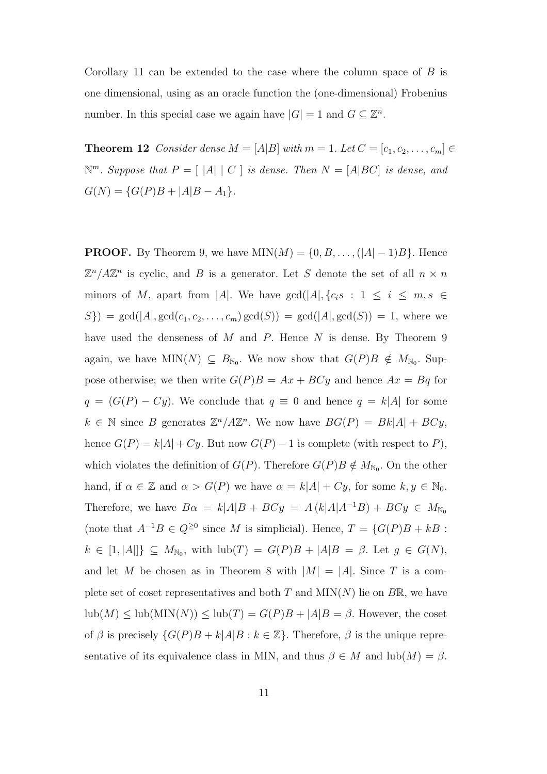Corollary 11 can be extended to the case where the column space of  $B$  is one dimensional, using as an oracle function the (one-dimensional) Frobenius number. In this special case we again have  $|G| = 1$  and  $G \subseteq \mathbb{Z}^n$ .

**Theorem 12** Consider dense  $M = [A|B]$  with  $m = 1$ . Let  $C = [c_1, c_2, \ldots, c_m]$  $\mathbb{N}^m$ . Suppose that  $P = \left[ \begin{array}{c|c} |A| & C \end{array} \right]$  is dense. Then  $N = [A|BC]$  is dense, and  $G(N) = {G(P)B + |A|B - A_1}.$ 

**PROOF.** By Theorem 9, we have  $MIN(M) = \{0, B, \ldots, (|A| - 1)B\}$ . Hence  $\mathbb{Z}^n/ A \mathbb{Z}^n$  is cyclic, and B is a generator. Let S denote the set of all  $n \times n$ minors of M, apart from |A|. We have  $gcd(|A|, \{c_i s : 1 \le i \le m, s \in$  $S$ ) = gcd(|A|, gcd( $c_1, c_2, ..., c_m$ ) gcd( $S$ )) = gcd(|A|, gcd( $S$ )) = 1, where we have used the denseness of M and P. Hence N is dense. By Theorem 9 again, we have  $MIN(N) \subseteq B_{N_0}$ . We now show that  $G(P)B \notin M_{N_0}$ . Suppose otherwise; we then write  $G(P)B = Ax + BCy$  and hence  $Ax = Bq$  for  $q = (G(P) - Cy)$ . We conclude that  $q \equiv 0$  and hence  $q = k|A|$  for some  $k \in \mathbb{N}$  since B generates  $\mathbb{Z}^n / A \mathbb{Z}^n$ . We now have  $BG(P) = Bk|A| + BCy$ , hence  $G(P) = k|A| + Cy$ . But now  $G(P) - 1$  is complete (with respect to P), which violates the definition of  $G(P)$ . Therefore  $G(P)B \notin M_{\mathbb{N}_0}$ . On the other hand, if  $\alpha \in \mathbb{Z}$  and  $\alpha > G(P)$  we have  $\alpha = k|A| + Cy$ , for some  $k, y \in \mathbb{N}_0$ . Therefore, we have  $B\alpha = k|A|B + BCy = A(k|A|A^{-1}B) + BCy \in M_{\mathbb{N}_0}$ (note that  $A^{-1}B \in Q^{\geq 0}$  since M is simplicial). Hence,  $T = \{G(P)B + kB$ :  $k \in [1, |A|] \} \subseteq M_{\mathbb{N}_0}$ , with  $\text{lub}(T) = G(P)B + |A|B = \beta$ . Let  $g \in G(N)$ , and let M be chosen as in Theorem 8 with  $|M| = |A|$ . Since T is a complete set of coset representatives and both T and  $MIN(N)$  lie on  $B\mathbb{R}$ , we have  $\text{lub}(M) \leq \text{lub}(\text{MIN}(N)) \leq \text{lub}(T) = G(P)B + |A|B = \beta$ . However, the coset of  $\beta$  is precisely  $\{G(P)B + k|A|B : k \in \mathbb{Z}\}$ . Therefore,  $\beta$  is the unique representative of its equivalence class in MIN, and thus  $\beta \in M$  and  $\text{lub}(M) = \beta$ .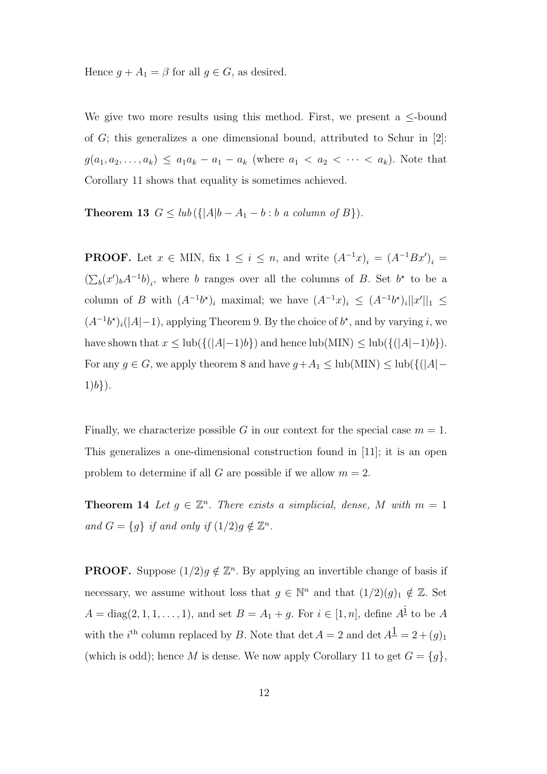Hence  $g + A_1 = \beta$  for all  $g \in G$ , as desired.

We give two more results using this method. First, we present a  $\leq$ -bound of  $G$ ; this generalizes a one dimensional bound, attributed to Schur in [2]:  $g(a_1, a_2, \ldots, a_k) \le a_1 a_k - a_1 - a_k$  (where  $a_1 < a_2 < \cdots < a_k$ ). Note that Corollary 11 shows that equality is sometimes achieved.

Theorem 13  $G \leq lub(\{|A|b - A_1 - b : b \text{ a column of } B\}).$ 

**PROOF.** Let  $x \in$  MIN, fix  $1 \leq i \leq n$ , and write  $(A^{-1}x)_i = (A^{-1}Bx')_i =$  $\overline{(\Sigma)}$  $(b(x')bA^{-1}b)_i$ , where b ranges over all the columns of B. Set b<sup>\*</sup> to be a column of B with  $(A^{-1}b^*)_i$  maximal; we have  $(A^{-1}x)_i \leq (A^{-1}b^*)_i||x'||_1 \leq$  $(A^{-1}b^{\star})_i(|A|-1)$ , applying Theorem 9. By the choice of  $b^{\star}$ , and by varying i, we have shown that  $x \leq \text{lub}(\{(|A|-1)b\})$  and hence  $\text{lub}(\text{MIN}) \leq \text{lub}(\{(|A|-1)b\}).$ For any  $g \in G$ , we apply theorem 8 and have  $g + A_1 \leq \text{lub}(\text{MIN}) \leq \text{lub}(\{(|A| 1)b$ .

Finally, we characterize possible G in our context for the special case  $m = 1$ . This generalizes a one-dimensional construction found in [11]; it is an open problem to determine if all G are possible if we allow  $m = 2$ .

**Theorem 14** Let  $g \in \mathbb{Z}^n$ . There exists a simplicial, dense, M with  $m = 1$ and  $G = \{g\}$  if and only if  $(1/2)g \notin \mathbb{Z}^n$ .

**PROOF.** Suppose  $(1/2)g \notin \mathbb{Z}^n$ . By applying an invertible change of basis if necessary, we assume without loss that  $g \in \mathbb{N}^n$  and that  $(1/2)(g)_1 \notin \mathbb{Z}$ . Set  $A = \text{diag}(2, 1, 1, \ldots, 1)$ , and set  $B = A_1 + g$ . For  $i \in [1, n]$ , define  $A^{\underline{i}}$  to be A with the *i*<sup>th</sup> column replaced by B. Note that  $\det A = 2$  and  $\det A^{\mathbf{I}} = 2 + (g)_{1}$ (which is odd); hence M is dense. We now apply Corollary 11 to get  $G = \{g\}$ ,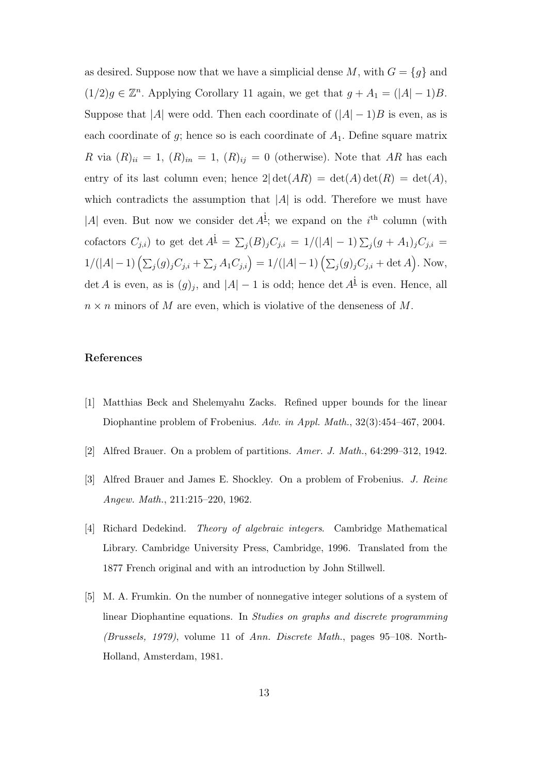as desired. Suppose now that we have a simplicial dense  $M$ , with  $G = \{g\}$  and  $(1/2)g \in \mathbb{Z}^n$ . Applying Corollary 11 again, we get that  $g + A_1 = (|A| - 1)B$ . Suppose that |A| were odd. Then each coordinate of  $(|A| - 1)B$  is even, as is each coordinate of  $g$ ; hence so is each coordinate of  $A_1$ . Define square matrix R via  $(R)_{ii} = 1$ ,  $(R)_{in} = 1$ ,  $(R)_{ij} = 0$  (otherwise). Note that AR has each entry of its last column even; hence  $2|\det(AR) = \det(A)\det(R) = \det(A)$ , which contradicts the assumption that  $|A|$  is odd. Therefore we must have |A| even. But now we consider det  $A^{\underline{i}}$ ; we expand on the i<sup>th</sup> column (with cofactors  $C_{j,i}$ ) to get det  $A^{\underline{i}} = \sum$  $j(B)_j C_{j,i} = 1/(|A|-1) \sum_j (g+A_1)_j C_{j,i} =$  $1/(|A| - 1) \left( \sum_j (g)_j C_{j,i} + \sum_j A_1 C_{j,i} \right) = 1/(|A| - 1) \left( \sum_j (g)_j C_{j,i} + \det A \right)$ ´ . Now, det A is even, as is  $(g)_j$ , and  $|A|-1$  is odd; hence det  $A^{\underline{i}}$  is even. Hence, all  $n \times n$  minors of M are even, which is violative of the denseness of M.

## References

- [1] Matthias Beck and Shelemyahu Zacks. Refined upper bounds for the linear Diophantine problem of Frobenius. Adv. in Appl. Math., 32(3):454–467, 2004.
- [2] Alfred Brauer. On a problem of partitions. Amer. J. Math., 64:299–312, 1942.
- [3] Alfred Brauer and James E. Shockley. On a problem of Frobenius. J. Reine Angew. Math., 211:215–220, 1962.
- [4] Richard Dedekind. Theory of algebraic integers. Cambridge Mathematical Library. Cambridge University Press, Cambridge, 1996. Translated from the 1877 French original and with an introduction by John Stillwell.
- [5] M. A. Frumkin. On the number of nonnegative integer solutions of a system of linear Diophantine equations. In Studies on graphs and discrete programming (Brussels, 1979), volume 11 of Ann. Discrete Math., pages 95–108. North-Holland, Amsterdam, 1981.